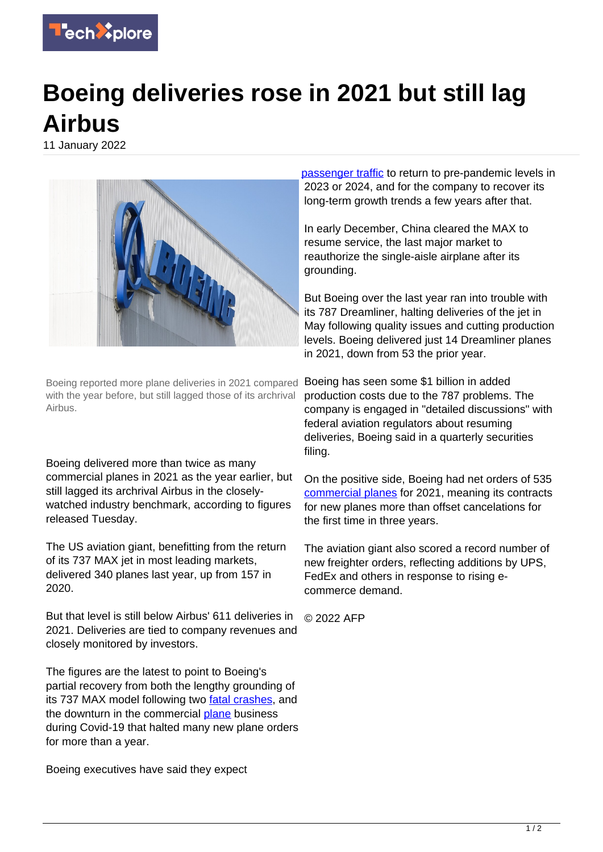

## **Boeing deliveries rose in 2021 but still lag Airbus**

11 January 2022



Boeing reported more plane deliveries in 2021 compared with the year before, but still lagged those of its archrival Airbus.

Boeing delivered more than twice as many commercial planes in 2021 as the year earlier, but still lagged its archrival Airbus in the closelywatched industry benchmark, according to figures released Tuesday.

The US aviation giant, benefitting from the return of its 737 MAX jet in most leading markets, delivered 340 planes last year, up from 157 in 2020.

But that level is still below Airbus' 611 deliveries in 2021. Deliveries are tied to company revenues and closely monitored by investors.

The figures are the latest to point to Boeing's partial recovery from both the lengthy grounding of its 737 MAX model following two [fatal crashes](https://techxplore.com/tags/fatal+crashes/), and the downturn in the commercial [plane](https://techxplore.com/tags/plane/) business during Covid-19 that halted many new plane orders for more than a year.

Boeing executives have said they expect

[passenger traffic](https://techxplore.com/tags/passenger+traffic/) to return to pre-pandemic levels in 2023 or 2024, and for the company to recover its long-term growth trends a few years after that.

In early December, China cleared the MAX to resume service, the last major market to reauthorize the single-aisle airplane after its grounding.

But Boeing over the last year ran into trouble with its 787 Dreamliner, halting deliveries of the jet in May following quality issues and cutting production levels. Boeing delivered just 14 Dreamliner planes in 2021, down from 53 the prior year.

Boeing has seen some \$1 billion in added production costs due to the 787 problems. The company is engaged in "detailed discussions" with federal aviation regulators about resuming deliveries, Boeing said in a quarterly securities filing.

On the positive side, Boeing had net orders of 535 [commercial planes](https://techxplore.com/tags/commercial+planes/) for 2021, meaning its contracts for new planes more than offset cancelations for the first time in three years.

The aviation giant also scored a record number of new freighter orders, reflecting additions by UPS, FedEx and others in response to rising ecommerce demand.

© 2022 AFP